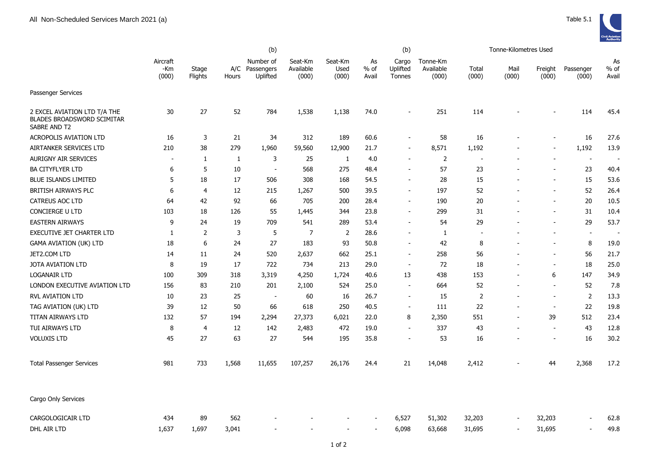

|                                                                                   |                          |                  |              | (b)                                     |                               |                          |                       | (b)                         |                                |                          | Tonne-Kilometres Used |                          |                    |                          |
|-----------------------------------------------------------------------------------|--------------------------|------------------|--------------|-----------------------------------------|-------------------------------|--------------------------|-----------------------|-----------------------------|--------------------------------|--------------------------|-----------------------|--------------------------|--------------------|--------------------------|
|                                                                                   | Aircraft<br>-Km<br>(000) | Stage<br>Flights | Hours        | Number of<br>A/C Passengers<br>Uplifted | Seat-Km<br>Available<br>(000) | Seat-Km<br>Used<br>(000) | As<br>$%$ of<br>Avail | Cargo<br>Uplifted<br>Tonnes | Tonne-Km<br>Available<br>(000) | Total<br>(000)           | Mail<br>(000)         | Freight<br>(000)         | Passenger<br>(000) | As<br>$%$ of<br>Avail    |
| Passenger Services                                                                |                          |                  |              |                                         |                               |                          |                       |                             |                                |                          |                       |                          |                    |                          |
| 2 EXCEL AVIATION LTD T/A THE<br><b>BLADES BROADSWORD SCIMITAR</b><br>SABRE AND T2 | 30                       | 27               | 52           | 784                                     | 1,538                         | 1,138                    | 74.0                  |                             | 251                            | 114                      |                       |                          | 114                | 45.4                     |
| <b>ACROPOLIS AVIATION LTD</b>                                                     | 16                       | 3                | 21           | 34                                      | 312                           | 189                      | 60.6                  |                             | 58                             | 16                       |                       |                          | 16                 | 27.6                     |
| AIRTANKER SERVICES LTD                                                            | 210                      | 38               | 279          | 1,960                                   | 59,560                        | 12,900                   | 21.7                  |                             | 8,571                          | 1,192                    |                       |                          | 1,192              | 13.9                     |
| <b>AURIGNY AIR SERVICES</b>                                                       | $\sim$                   | $\mathbf{1}$     | $\mathbf{1}$ | 3                                       | 25                            | 1                        | 4.0                   |                             | $\overline{2}$                 | $\overline{\phantom{a}}$ |                       |                          | $\sim$             | $\overline{\phantom{a}}$ |
| <b>BA CITYFLYER LTD</b>                                                           | 6                        | 5                | 10           | $\sim$                                  | 568                           | 275                      | 48.4                  |                             | 57                             | 23                       | L,                    | $\overline{\phantom{a}}$ | 23                 | 40.4                     |
| <b>BLUE ISLANDS LIMITED</b>                                                       | 5                        | 18               | 17           | 506                                     | 308                           | 168                      | 54.5                  |                             | 28                             | 15                       |                       |                          | 15                 | 53.6                     |
| BRITISH AIRWAYS PLC                                                               | 6                        | 4                | $12\,$       | 215                                     | 1,267                         | 500                      | 39.5                  |                             | 197                            | 52                       |                       |                          | 52                 | 26.4                     |
| <b>CATREUS AOC LTD</b>                                                            | 64                       | 42               | 92           | 66                                      | 705                           | 200                      | 28.4                  |                             | 190                            | 20                       |                       | $\blacksquare$           | 20                 | 10.5                     |
| <b>CONCIERGE U LTD</b>                                                            | 103                      | 18               | 126          | 55                                      | 1,445                         | 344                      | 23.8                  |                             | 299                            | 31                       |                       | $\blacksquare$           | 31                 | 10.4                     |
| <b>EASTERN AIRWAYS</b>                                                            | 9                        | 24               | 19           | 709                                     | 541                           | 289                      | 53.4                  |                             | 54                             | 29                       |                       | $\sim$                   | 29                 | 53.7                     |
| <b>EXECUTIVE JET CHARTER LTD</b>                                                  | 1                        | $\overline{2}$   | 3            | 5                                       | 7                             | $\overline{2}$           | 28.6                  |                             | 1                              | $\overline{a}$           |                       |                          | $\blacksquare$     | $\sim$                   |
| <b>GAMA AVIATION (UK) LTD</b>                                                     | 18                       | 6                | 24           | 27                                      | 183                           | 93                       | 50.8                  |                             | 42                             | 8                        |                       | $\blacksquare$           | 8                  | 19.0                     |
| JET2.COM LTD                                                                      | 14                       | 11               | 24           | 520                                     | 2,637                         | 662                      | 25.1                  | $\overline{\phantom{a}}$    | 258                            | 56                       |                       | $\overline{\phantom{a}}$ | 56                 | 21.7                     |
| JOTA AVIATION LTD                                                                 | 8                        | 19               | 17           | 722                                     | 734                           | 213                      | 29.0                  | $\overline{\phantom{a}}$    | 72                             | 18                       |                       | $\sim$                   | 18                 | 25.0                     |
| LOGANAIR LTD                                                                      | 100                      | 309              | 318          | 3,319                                   | 4,250                         | 1,724                    | 40.6                  | 13                          | 438                            | 153                      | L,                    | 6                        | 147                | 34.9                     |
| LONDON EXECUTIVE AVIATION LTD                                                     | 156                      | 83               | 210          | 201                                     | 2,100                         | 524                      | 25.0                  | $\overline{\phantom{a}}$    | 664                            | 52                       |                       | $\blacksquare$           | 52                 | 7.8                      |
| <b>RVL AVIATION LTD</b>                                                           | 10                       | 23               | 25           | $\overline{\phantom{a}}$                | 60                            | 16                       | 26.7                  | $\overline{\phantom{a}}$    | 15                             | $\overline{2}$           |                       | $\blacksquare$           | $\overline{2}$     | 13.3                     |
| TAG AVIATION (UK) LTD                                                             | 39                       | 12               | 50           | 66                                      | 618                           | 250                      | 40.5                  | $\overline{\phantom{a}}$    | 111                            | 22                       |                       | $\overline{\phantom{a}}$ | 22                 | 19.8                     |
| TITAN AIRWAYS LTD                                                                 | 132                      | 57               | 194          | 2,294                                   | 27,373                        | 6,021                    | 22.0                  | 8                           | 2,350                          | 551                      | L,                    | 39                       | 512                | 23.4                     |
| TUI AIRWAYS LTD                                                                   | 8                        | 4                | 12           | 142                                     | 2,483                         | 472                      | 19.0                  |                             | 337                            | 43                       |                       | $\overline{\phantom{a}}$ | 43                 | 12.8                     |
| <b>VOLUXIS LTD</b>                                                                | 45                       | 27               | 63           | 27                                      | 544                           | 195                      | 35.8                  |                             | 53                             | 16                       |                       | $\blacksquare$           | 16                 | 30.2                     |
| <b>Total Passenger Services</b>                                                   | 981                      | 733              | 1,568        | 11,655                                  | 107,257                       | 26,176                   | 24.4                  | 21                          | 14,048                         | 2,412                    |                       | 44                       | 2,368              | 17.2                     |
| Cargo Only Services                                                               |                          |                  |              |                                         |                               |                          |                       |                             |                                |                          |                       |                          |                    |                          |
| CARGOLOGICAIR LTD                                                                 | 434                      | 89               | 562          |                                         |                               |                          |                       | 6,527                       | 51,302                         | 32,203                   |                       | 32,203                   |                    | 62.8                     |
| DHL AIR LTD                                                                       | 1,637                    | 1,697            | 3,041        |                                         |                               |                          |                       | 6,098                       | 63,668                         | 31,695                   | ÷,                    | 31,695                   | $\sim$             | 49.8                     |